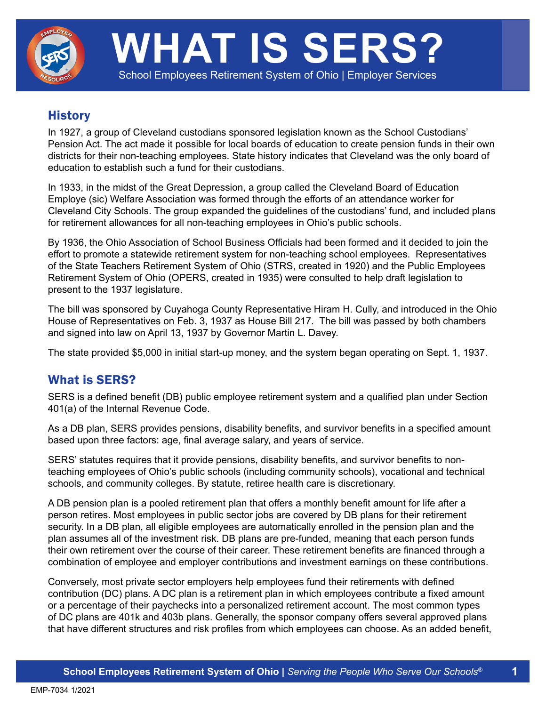

# WHAT IS SERS

#### School Employees Retirement System of Ohio | Employer Services

# **History**

In 1927, a group of Cleveland custodians sponsored legislation known as the School Custodians' Pension Act. The act made it possible for local boards of education to create pension funds in their own districts for their non-teaching employees. State history indicates that Cleveland was the only board of education to establish such a fund for their custodians.

In 1933, in the midst of the Great Depression, a group called the Cleveland Board of Education Employe (sic) Welfare Association was formed through the efforts of an attendance worker for Cleveland City Schools. The group expanded the guidelines of the custodians' fund, and included plans for retirement allowances for all non-teaching employees in Ohio's public schools.

By 1936, the Ohio Association of School Business Officials had been formed and it decided to join the effort to promote a statewide retirement system for non-teaching school employees. Representatives of the State Teachers Retirement System of Ohio (STRS, created in 1920) and the Public Employees Retirement System of Ohio (OPERS, created in 1935) were consulted to help draft legislation to present to the 1937 legislature.

The bill was sponsored by Cuyahoga County Representative Hiram H. Cully, and introduced in the Ohio House of Representatives on Feb. 3, 1937 as House Bill 217. The bill was passed by both chambers and signed into law on April 13, 1937 by Governor Martin L. Davey.

The state provided \$5,000 in initial start-up money, and the system began operating on Sept. 1, 1937.

## What is SERS?

SERS is a defined benefit (DB) public employee retirement system and a qualified plan under Section 401(a) of the Internal Revenue Code.

As a DB plan, SERS provides pensions, disability benefits, and survivor benefits in a specified amount based upon three factors: age, final average salary, and years of service.

SERS' statutes requires that it provide pensions, disability benefits, and survivor benefits to nonteaching employees of Ohio's public schools (including community schools), vocational and technical schools, and community colleges. By statute, retiree health care is discretionary.

A DB pension plan is a pooled retirement plan that offers a monthly benefit amount for life after a person retires. Most employees in public sector jobs are covered by DB plans for their retirement security. In a DB plan, all eligible employees are automatically enrolled in the pension plan and the plan assumes all of the investment risk. DB plans are pre-funded, meaning that each person funds their own retirement over the course of their career. These retirement benefits are financed through a combination of employee and employer contributions and investment earnings on these contributions.

Conversely, most private sector employers help employees fund their retirements with defined contribution (DC) plans. A DC plan is a retirement plan in which employees contribute a fixed amount or a percentage of their paychecks into a personalized retirement account. The most common types of DC plans are 401k and 403b plans. Generally, the sponsor company offers several approved plans that have different structures and risk profiles from which employees can choose. As an added benefit,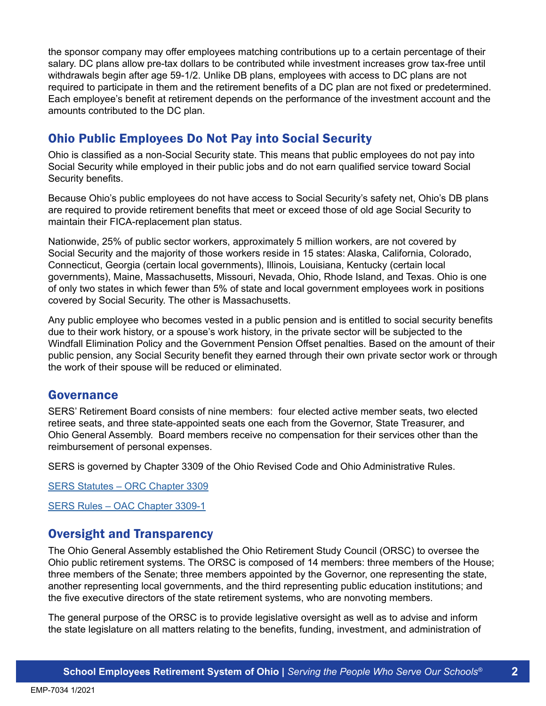the sponsor company may offer employees matching contributions up to a certain percentage of their salary. DC plans allow pre-tax dollars to be contributed while investment increases grow tax-free until withdrawals begin after age 59-1/2. Unlike DB plans, employees with access to DC plans are not required to participate in them and the retirement benefits of a DC plan are not fixed or predetermined. Each employee's benefit at retirement depends on the performance of the investment account and the amounts contributed to the DC plan.

# Ohio Public Employees Do Not Pay into Social Security

Ohio is classified as a non-Social Security state. This means that public employees do not pay into Social Security while employed in their public jobs and do not earn qualified service toward Social Security benefits.

Because Ohio's public employees do not have access to Social Security's safety net, Ohio's DB plans are required to provide retirement benefits that meet or exceed those of old age Social Security to maintain their FICA-replacement plan status.

Nationwide, 25% of public sector workers, approximately 5 million workers, are not covered by Social Security and the majority of those workers reside in 15 states: Alaska, California, Colorado, Connecticut, Georgia (certain local governments), Illinois, Louisiana, Kentucky (certain local governments), Maine, Massachusetts, Missouri, Nevada, Ohio, Rhode Island, and Texas. Ohio is one of only two states in which fewer than 5% of state and local government employees work in positions covered by Social Security. The other is Massachusetts.

Any public employee who becomes vested in a public pension and is entitled to social security benefits due to their work history, or a spouse's work history, in the private sector will be subjected to the Windfall Elimination Policy and the Government Pension Offset penalties. Based on the amount of their public pension, any Social Security benefit they earned through their own private sector work or through the work of their spouse will be reduced or eliminated.

#### Governance

SERS' Retirement Board consists of nine members: four elected active member seats, two elected retiree seats, and three state-appointed seats one each from the Governor, State Treasurer, and Ohio General Assembly. Board members receive no compensation for their services other than the reimbursement of personal expenses.

SERS is governed by Chapter 3309 of the Ohio Revised Code and Ohio Administrative Rules.

[SERS Statutes – ORC Chapter 3309](http://codes.ohio.gov/orc/3309)

[SERS Rules – OAC Chapter 3309-1](http://codes.ohio.gov/oac/3309-1)

### Oversight and Transparency

The Ohio General Assembly established the Ohio Retirement Study Council (ORSC) to oversee the Ohio public retirement systems. The ORSC is composed of 14 members: three members of the House; three members of the Senate; three members appointed by the Governor, one representing the state, another representing local governments, and the third representing public education institutions; and the five executive directors of the state retirement systems, who are nonvoting members.

The general purpose of the ORSC is to provide legislative oversight as well as to advise and inform the state legislature on all matters relating to the benefits, funding, investment, and administration of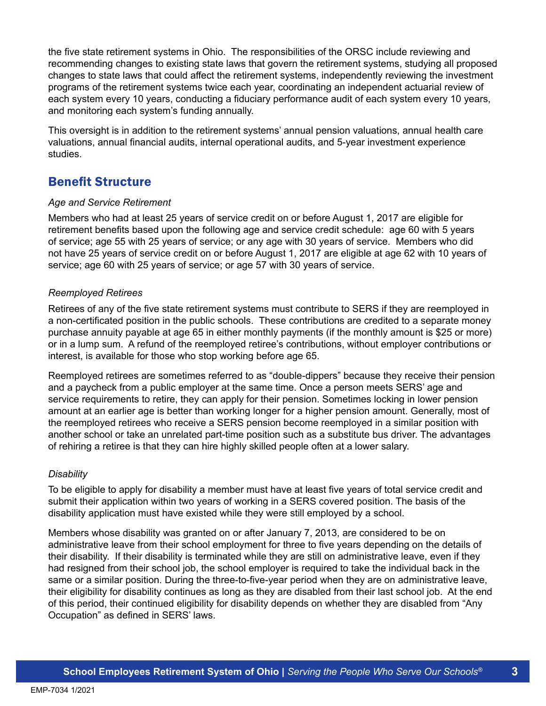the five state retirement systems in Ohio. The responsibilities of the ORSC include reviewing and recommending changes to existing state laws that govern the retirement systems, studying all proposed changes to state laws that could affect the retirement systems, independently reviewing the investment programs of the retirement systems twice each year, coordinating an independent actuarial review of each system every 10 years, conducting a fiduciary performance audit of each system every 10 years, and monitoring each system's funding annually.

This oversight is in addition to the retirement systems' annual pension valuations, annual health care valuations, annual financial audits, internal operational audits, and 5-year investment experience studies.

## Benefit Structure

#### *Age and Service Retirement*

Members who had at least 25 years of service credit on or before August 1, 2017 are eligible for retirement benefits based upon the following age and service credit schedule: age 60 with 5 years of service; age 55 with 25 years of service; or any age with 30 years of service. Members who did not have 25 years of service credit on or before August 1, 2017 are eligible at age 62 with 10 years of service; age 60 with 25 years of service; or age 57 with 30 years of service.

#### *Reemployed Retirees*

Retirees of any of the five state retirement systems must contribute to SERS if they are reemployed in a non-certificated position in the public schools. These contributions are credited to a separate money purchase annuity payable at age 65 in either monthly payments (if the monthly amount is \$25 or more) or in a lump sum. A refund of the reemployed retiree's contributions, without employer contributions or interest, is available for those who stop working before age 65.

Reemployed retirees are sometimes referred to as "double-dippers" because they receive their pension and a paycheck from a public employer at the same time. Once a person meets SERS' age and service requirements to retire, they can apply for their pension. Sometimes locking in lower pension amount at an earlier age is better than working longer for a higher pension amount. Generally, most of the reemployed retirees who receive a SERS pension become reemployed in a similar position with another school or take an unrelated part-time position such as a substitute bus driver. The advantages of rehiring a retiree is that they can hire highly skilled people often at a lower salary.

#### *Disability*

To be eligible to apply for disability a member must have at least five years of total service credit and submit their application within two years of working in a SERS covered position. The basis of the disability application must have existed while they were still employed by a school.

Members whose disability was granted on or after January 7, 2013, are considered to be on administrative leave from their school employment for three to five years depending on the details of their disability. If their disability is terminated while they are still on administrative leave, even if they had resigned from their school job, the school employer is required to take the individual back in the same or a similar position. During the three-to-five-year period when they are on administrative leave, their eligibility for disability continues as long as they are disabled from their last school job. At the end of this period, their continued eligibility for disability depends on whether they are disabled from "Any Occupation" as defined in SERS' laws.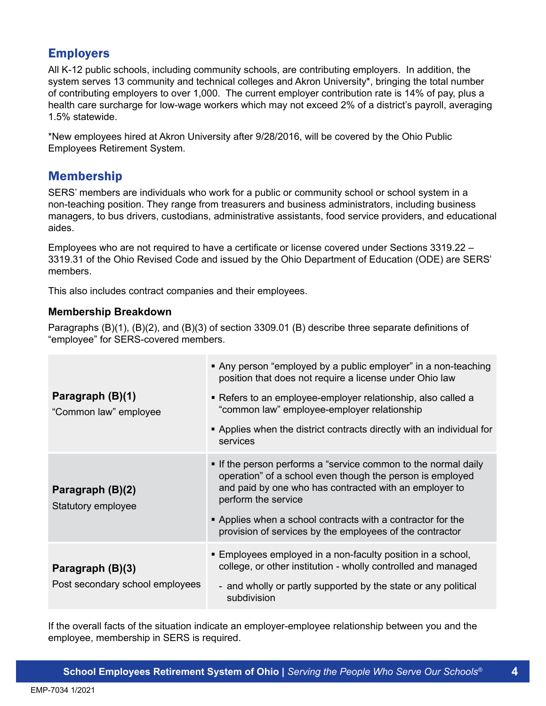# Employers

All K-12 public schools, including community schools, are contributing employers. In addition, the system serves 13 community and technical colleges and Akron University\*, bringing the total number of contributing employers to over 1,000. The current employer contribution rate is 14% of pay, plus a health care surcharge for low-wage workers which may not exceed 2% of a district's payroll, averaging 1.5% statewide.

\*New employees hired at Akron University after 9/28/2016, will be covered by the Ohio Public Employees Retirement System.

# Membership

SERS' members are individuals who work for a public or community school or school system in a non-teaching position. They range from treasurers and business administrators, including business managers, to bus drivers, custodians, administrative assistants, food service providers, and educational aides.

Employees who are not required to have a certificate or license covered under Sections 3319.22 – 3319.31 of the Ohio Revised Code and issued by the Ohio Department of Education (ODE) are SERS' members.

This also includes contract companies and their employees.

#### **Membership Breakdown**

Paragraphs (B)(1), (B)(2), and (B)(3) of section 3309.01 (B) describe three separate definitions of "employee" for SERS-covered members.

| Paragraph (B)(1)<br>"Common law" employee           | Any person "employed by a public employer" in a non-teaching<br>position that does not require a license under Ohio law                                                                                      |
|-----------------------------------------------------|--------------------------------------------------------------------------------------------------------------------------------------------------------------------------------------------------------------|
|                                                     | • Refers to an employee-employer relationship, also called a<br>"common law" employee-employer relationship                                                                                                  |
|                                                     | • Applies when the district contracts directly with an individual for<br>services                                                                                                                            |
| Paragraph (B)(2)<br>Statutory employee              | • If the person performs a "service common to the normal daily<br>operation" of a school even though the person is employed<br>and paid by one who has contracted with an employer to<br>perform the service |
|                                                     | • Applies when a school contracts with a contractor for the<br>provision of services by the employees of the contractor                                                                                      |
| Paragraph (B)(3)<br>Post secondary school employees | ■ Employees employed in a non-faculty position in a school,<br>college, or other institution - wholly controlled and managed                                                                                 |
|                                                     | - and wholly or partly supported by the state or any political<br>subdivision                                                                                                                                |

If the overall facts of the situation indicate an employer-employee relationship between you and the employee, membership in SERS is required.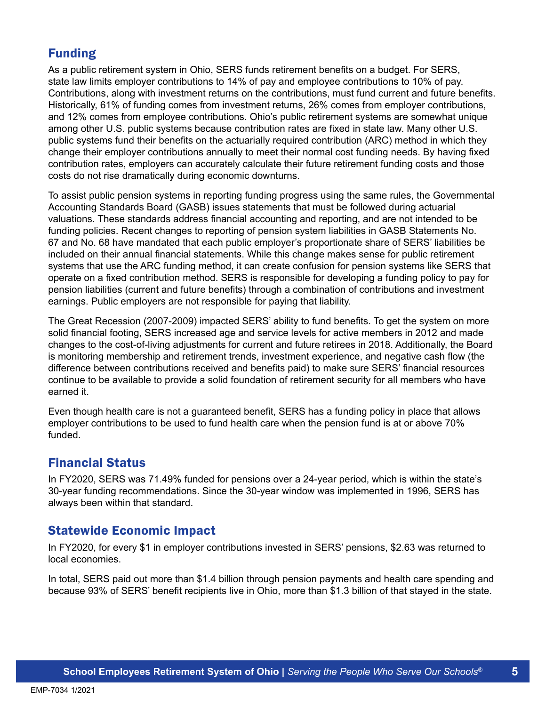# Funding

As a public retirement system in Ohio, SERS funds retirement benefits on a budget. For SERS, state law limits employer contributions to 14% of pay and employee contributions to 10% of pay. Contributions, along with investment returns on the contributions, must fund current and future benefits. Historically, 61% of funding comes from investment returns, 26% comes from employer contributions, and 12% comes from employee contributions. Ohio's public retirement systems are somewhat unique among other U.S. public systems because contribution rates are fixed in state law. Many other U.S. public systems fund their benefits on the actuarially required contribution (ARC) method in which they change their employer contributions annually to meet their normal cost funding needs. By having fixed contribution rates, employers can accurately calculate their future retirement funding costs and those costs do not rise dramatically during economic downturns.

To assist public pension systems in reporting funding progress using the same rules, the Governmental Accounting Standards Board (GASB) issues statements that must be followed during actuarial valuations. These standards address financial accounting and reporting, and are not intended to be funding policies. Recent changes to reporting of pension system liabilities in GASB Statements No. 67 and No. 68 have mandated that each public employer's proportionate share of SERS' liabilities be included on their annual financial statements. While this change makes sense for public retirement systems that use the ARC funding method, it can create confusion for pension systems like SERS that operate on a fixed contribution method. SERS is responsible for developing a funding policy to pay for pension liabilities (current and future benefits) through a combination of contributions and investment earnings. Public employers are not responsible for paying that liability.

The Great Recession (2007-2009) impacted SERS' ability to fund benefits. To get the system on more solid financial footing, SERS increased age and service levels for active members in 2012 and made changes to the cost-of-living adjustments for current and future retirees in 2018. Additionally, the Board is monitoring membership and retirement trends, investment experience, and negative cash flow (the difference between contributions received and benefits paid) to make sure SERS' financial resources continue to be available to provide a solid foundation of retirement security for all members who have earned it.

Even though health care is not a guaranteed benefit, SERS has a funding policy in place that allows employer contributions to be used to fund health care when the pension fund is at or above 70% funded.

## Financial Status

In FY2020, SERS was 71.49% funded for pensions over a 24-year period, which is within the state's 30-year funding recommendations. Since the 30-year window was implemented in 1996, SERS has always been within that standard.

## Statewide Economic Impact

In FY2020, for every \$1 in employer contributions invested in SERS' pensions, \$2.63 was returned to local economies.

In total, SERS paid out more than \$1.4 billion through pension payments and health care spending and because 93% of SERS' benefit recipients live in Ohio, more than \$1.3 billion of that stayed in the state.